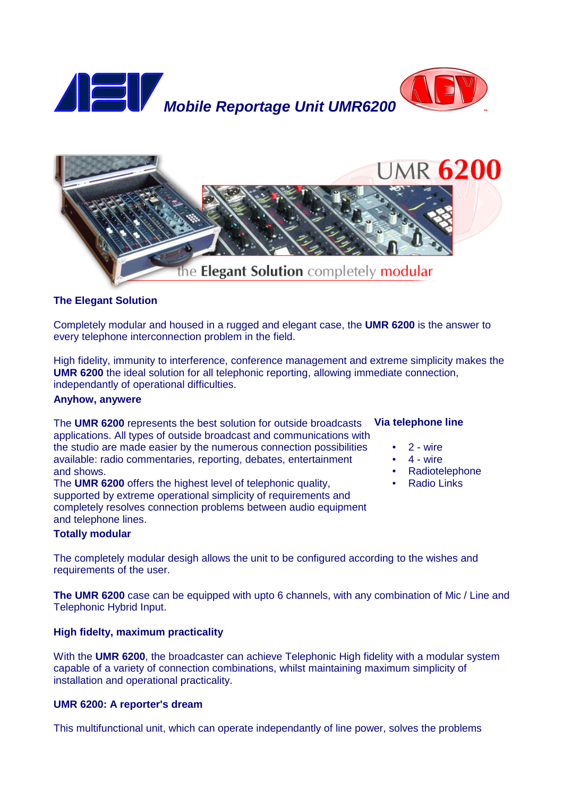



# **The Elegant Solution**

Completely modular and housed in a rugged and elegant case, the **UMR 6200** is the answer to every telephone interconnection problem in the field.

High fidelity, immunity to interference, conference management and extreme simplicity makes the **UMR 6200** the ideal solution for all telephonic reporting, allowing immediate connection, independantly of operational difficulties.

# **Anyhow, anywere**

The **UMR 6200** represents the best solution for outside broadcasts applications. All types of outside broadcast and communications with the studio are made easier by the numerous connection possibilities available: radio commentaries, reporting, debates, entertainment and shows.

The **UMR 6200** offers the highest level of telephonic quality, supported by extreme operational simplicity of requirements and completely resolves connection problems between audio equipment and telephone lines.

### **Totally modular**

The completely modular desigh allows the unit to be configured according to the wishes and requirements of the user.

**The UMR 6200** case can be equipped with upto 6 channels, with any combination of Mic / Line and Telephonic Hybrid Input.

# **High fidelty, maximum practicality**

With the **UMR 6200**, the broadcaster can achieve Telephonic High fidelity with a modular system capable of a variety of connection combinations, whilst maintaining maximum simplicity of installation and operational practicality.

#### **UMR 6200: A reporter's dream**

This multifunctional unit, which can operate independantly of line power, solves the problems

### **Via telephone line**

- 2 wire
- $4 wire$
- Radiotelephone
- Radio Links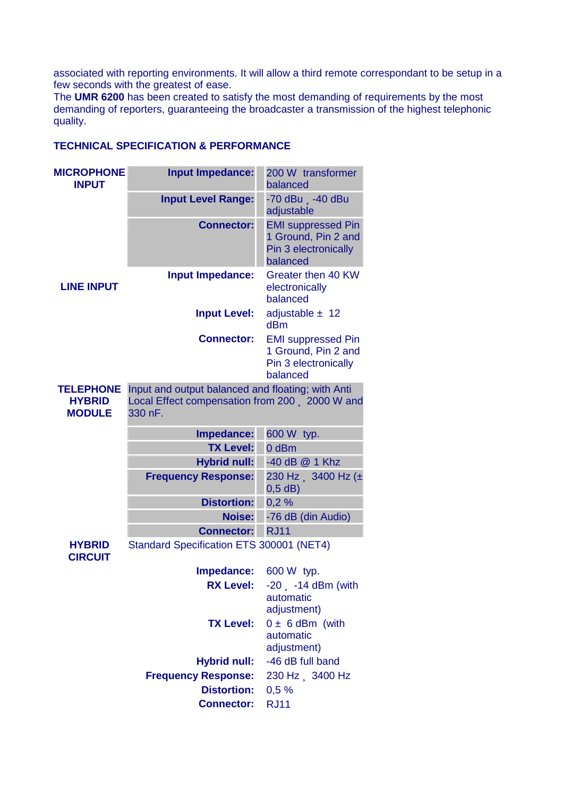associated with reporting environments. It will allow a third remote correspondant to be setup in a few seconds with the greatest of ease.

The **UMR 6200** has been created to satisfy the most demanding of requirements by the most demanding of reporters, guaranteeing the broadcaster a transmission of the highest telephonic quality.

| <b>MICROPHONE</b><br><b>INPUT</b>                  | <b>Input Impedance:</b>                                                                                       | 200 W transformer<br>balanced                                                        |
|----------------------------------------------------|---------------------------------------------------------------------------------------------------------------|--------------------------------------------------------------------------------------|
|                                                    | <b>Input Level Range:</b>                                                                                     | -70 dBu . -40 dBu<br>adjustable                                                      |
|                                                    | <b>Connector:</b>                                                                                             | <b>EMI suppressed Pin</b><br>1 Ground, Pin 2 and<br>Pin 3 electronically<br>balanced |
| <b>LINE INPUT</b>                                  | Input Impedance:                                                                                              | Greater then 40 KW<br>electronically<br>balanced                                     |
|                                                    | <b>Input Level:</b>                                                                                           | adjustable $\pm$ 12<br>dBm                                                           |
|                                                    | <b>Connector:</b>                                                                                             | <b>EMI suppressed Pin</b><br>1 Ground, Pin 2 and<br>Pin 3 electronically<br>balanced |
| <b>TELEPHONE</b><br><b>HYBRID</b><br><b>MODULE</b> | Input and output balanced and floating; with Anti<br>Local Effect compensation from 200 2000 W and<br>330 nF. |                                                                                      |
|                                                    | Impedance:                                                                                                    | 600 W typ.                                                                           |
|                                                    | <b>TX Level:</b>                                                                                              | 0 dBm                                                                                |
|                                                    | <b>Hybrid null:</b>                                                                                           | -40 dB @ 1 Khz                                                                       |
|                                                    | <b>Frequency Response:</b>                                                                                    | 230 Hz 3400 Hz (±<br>$0,5$ dB)                                                       |
|                                                    | <b>Distortion:</b>                                                                                            | 0,2%                                                                                 |
|                                                    | <b>Noise:</b>                                                                                                 | -76 dB (din Audio)                                                                   |
|                                                    | <b>Connector:</b>                                                                                             | <b>RJ11</b>                                                                          |
| <b>HYBRID</b><br><b>CIRCUIT</b>                    | Standard Specification ETS 300001 (NET4)                                                                      |                                                                                      |
|                                                    | Impedance:                                                                                                    | 600 W typ.                                                                           |
|                                                    | <b>RX Level:</b>                                                                                              | $-20$ $-14$ dBm (with<br>automatic<br>adjustment)                                    |
|                                                    | <b>TX Level:</b>                                                                                              | $0 \pm 6$ dBm (with<br>automatic<br>adjustment)                                      |
|                                                    | <b>Hybrid null:</b>                                                                                           | -46 dB full band                                                                     |
|                                                    | <b>Frequency Response:</b>                                                                                    | 230 Hz 3400 Hz                                                                       |
|                                                    | <b>Distortion:</b>                                                                                            | 0,5%                                                                                 |
|                                                    | <b>Connector:</b>                                                                                             | <b>RJ11</b>                                                                          |

# **TECHNICAL SPECIFICATION & PERFORMANCE**